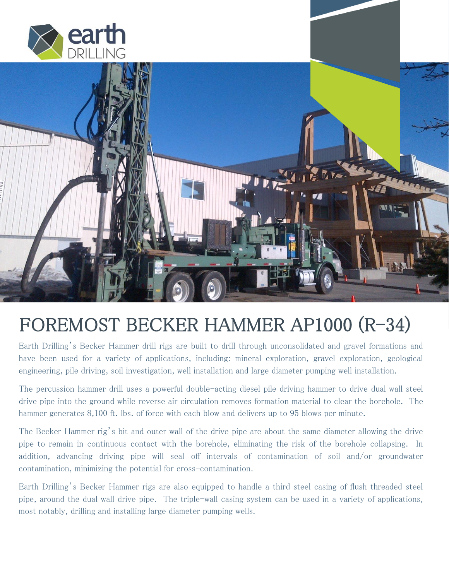



# FOREMOST BECKER HAMMER AP1000 (R-34)

Earth Drilling's Becker Hammer drill rigs are built to drill through unconsolidated and gravel formations and have been used for a variety of applications, including: mineral exploration, gravel exploration, geological engineering, pile driving, soil investigation, well installation and large diameter pumping well installation.

The percussion hammer drill uses a powerful double-acting diesel pile driving hammer to drive dual wall steel drive pipe into the ground while reverse air circulation removes formation material to clear the borehole. The hammer generates 8,100 ft. lbs. of force with each blow and delivers up to 95 blows per minute.

The Becker Hammer rig's bit and outer wall of the drive pipe are about the same diameter allowing the drive pipe to remain in continuous contact with the borehole, eliminating the risk of the borehole collapsing. In addition, advancing driving pipe will seal off intervals of contamination of soil and/or groundwater contamination, minimizing the potential for cross-contamination.

Earth Drilling's Becker Hammer rigs are also equipped to handle a third steel casing of flush threaded steel pipe, around the dual wall drive pipe. The triple-wall casing system can be used in a variety of applications, most notably, drilling and installing large diameter pumping wells.